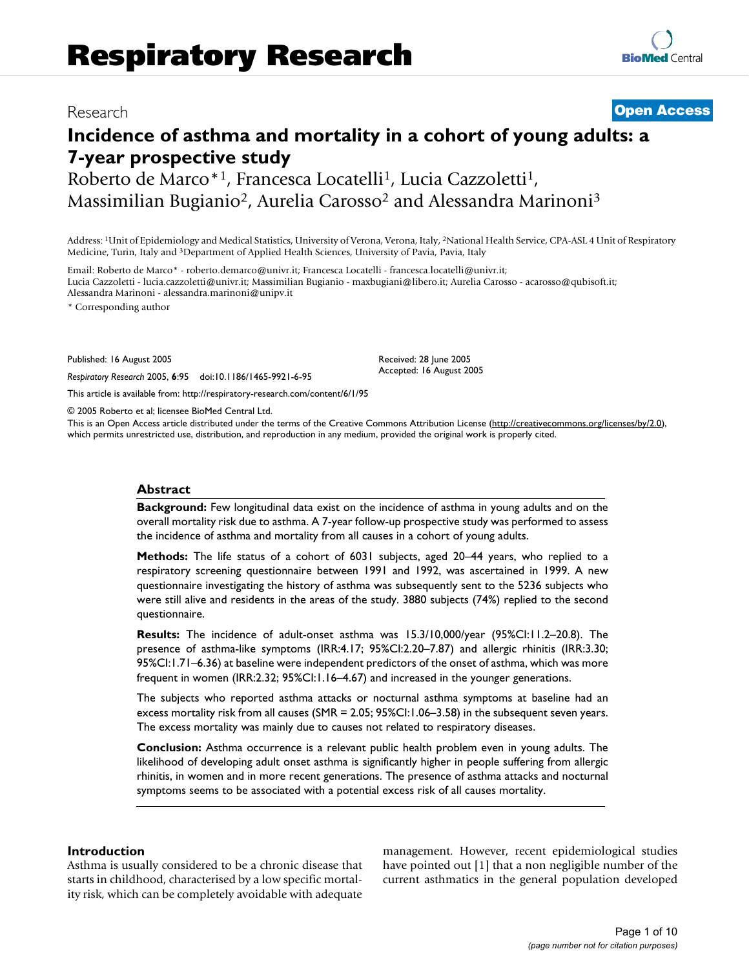## Research **[Open Access](http://www.biomedcentral.com/info/about/charter/)**

# **Incidence of asthma and mortality in a cohort of young adults: a 7-year prospective study**

Roberto de Marco<sup>\*1</sup>, Francesca Locatelli<sup>1</sup>, Lucia Cazzoletti<sup>1</sup>, Massimilian Bugianio2, Aurelia Carosso2 and Alessandra Marinoni3

Address: <sup>1</sup>Unit of Epidemiology and Medical Statistics, University of Verona, Verona, Italy, <sup>2</sup>National Health Service, CPA-ASL 4 Unit of Respiratory Medicine, Turin, Italy and 3Department of Applied Health Sciences, University of Pavia, Pavia, Italy

Email: Roberto de Marco\* - roberto.demarco@univr.it; Francesca Locatelli - francesca.locatelli@univr.it; Lucia Cazzoletti - lucia.cazzoletti@univr.it; Massimilian Bugianio - maxbugiani@libero.it; Aurelia Carosso - acarosso@qubisoft.it; Alessandra Marinoni - alessandra.marinoni@unipv.it

\* Corresponding author

Published: 16 August 2005

*Respiratory Research* 2005, **6**:95 doi:10.1186/1465-9921-6-95

[This article is available from: http://respiratory-research.com/content/6/1/95](http://respiratory-research.com/content/6/1/95)

© 2005 Roberto et al; licensee BioMed Central Ltd.

This is an Open Access article distributed under the terms of the Creative Commons Attribution License [\(http://creativecommons.org/licenses/by/2.0\)](http://creativecommons.org/licenses/by/2.0), which permits unrestricted use, distribution, and reproduction in any medium, provided the original work is properly cited.

Received: 28 June 2005 Accepted: 16 August 2005

#### **Abstract**

**Background:** Few longitudinal data exist on the incidence of asthma in young adults and on the overall mortality risk due to asthma. A 7-year follow-up prospective study was performed to assess the incidence of asthma and mortality from all causes in a cohort of young adults.

**Methods:** The life status of a cohort of 6031 subjects, aged 20–44 years, who replied to a respiratory screening questionnaire between 1991 and 1992, was ascertained in 1999. A new questionnaire investigating the history of asthma was subsequently sent to the 5236 subjects who were still alive and residents in the areas of the study. 3880 subjects (74%) replied to the second questionnaire.

**Results:** The incidence of adult-onset asthma was 15.3/10,000/year (95%CI:11.2–20.8). The presence of asthma-like symptoms (IRR:4.17; 95%CI:2.20–7.87) and allergic rhinitis (IRR:3.30; 95%CI:1.71–6.36) at baseline were independent predictors of the onset of asthma, which was more frequent in women (IRR:2.32; 95%CI:1.16–4.67) and increased in the younger generations.

The subjects who reported asthma attacks or nocturnal asthma symptoms at baseline had an excess mortality risk from all causes (SMR = 2.05; 95%CI:1.06–3.58) in the subsequent seven years. The excess mortality was mainly due to causes not related to respiratory diseases.

**Conclusion:** Asthma occurrence is a relevant public health problem even in young adults. The likelihood of developing adult onset asthma is significantly higher in people suffering from allergic rhinitis, in women and in more recent generations. The presence of asthma attacks and nocturnal symptoms seems to be associated with a potential excess risk of all causes mortality.

#### **Introduction**

Asthma is usually considered to be a chronic disease that starts in childhood, characterised by a low specific mortality risk, which can be completely avoidable with adequate management. However, recent epidemiological studies have pointed out [1] that a non negligible number of the current asthmatics in the general population developed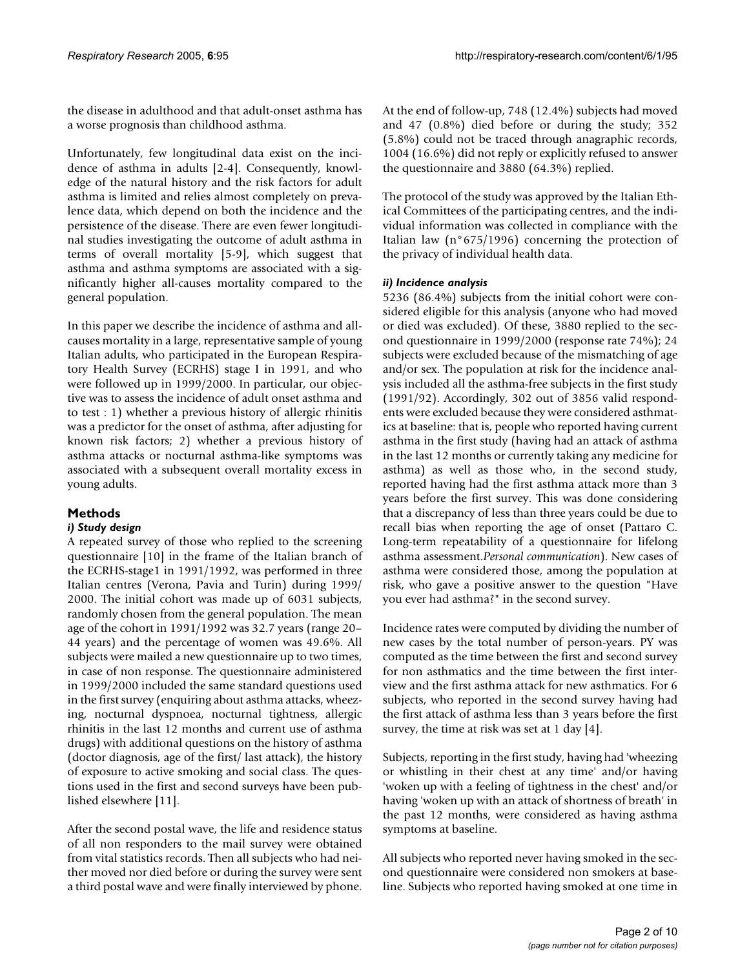the disease in adulthood and that adult-onset asthma has a worse prognosis than childhood asthma.

Unfortunately, few longitudinal data exist on the incidence of asthma in adults [2-4]. Consequently, knowledge of the natural history and the risk factors for adult asthma is limited and relies almost completely on prevalence data, which depend on both the incidence and the persistence of the disease. There are even fewer longitudinal studies investigating the outcome of adult asthma in terms of overall mortality [5-9], which suggest that asthma and asthma symptoms are associated with a significantly higher all-causes mortality compared to the general population.

In this paper we describe the incidence of asthma and allcauses mortality in a large, representative sample of young Italian adults, who participated in the European Respiratory Health Survey (ECRHS) stage I in 1991, and who were followed up in 1999/2000. In particular, our objective was to assess the incidence of adult onset asthma and to test : 1) whether a previous history of allergic rhinitis was a predictor for the onset of asthma, after adjusting for known risk factors; 2) whether a previous history of asthma attacks or nocturnal asthma-like symptoms was associated with a subsequent overall mortality excess in young adults.

#### **Methods**

#### *i) Study design*

A repeated survey of those who replied to the screening questionnaire [10] in the frame of the Italian branch of the ECRHS-stage1 in 1991/1992, was performed in three Italian centres (Verona, Pavia and Turin) during 1999/ 2000. The initial cohort was made up of 6031 subjects, randomly chosen from the general population. The mean age of the cohort in 1991/1992 was 32.7 years (range 20– 44 years) and the percentage of women was 49.6%. All subjects were mailed a new questionnaire up to two times, in case of non response. The questionnaire administered in 1999/2000 included the same standard questions used in the first survey (enquiring about asthma attacks, wheezing, nocturnal dyspnoea, nocturnal tightness, allergic rhinitis in the last 12 months and current use of asthma drugs) with additional questions on the history of asthma (doctor diagnosis, age of the first/ last attack), the history of exposure to active smoking and social class. The questions used in the first and second surveys have been published elsewhere [11].

After the second postal wave, the life and residence status of all non responders to the mail survey were obtained from vital statistics records. Then all subjects who had neither moved nor died before or during the survey were sent a third postal wave and were finally interviewed by phone.

At the end of follow-up, 748 (12.4%) subjects had moved and 47 (0.8%) died before or during the study; 352 (5.8%) could not be traced through anagraphic records, 1004 (16.6%) did not reply or explicitly refused to answer the questionnaire and 3880 (64.3%) replied.

The protocol of the study was approved by the Italian Ethical Committees of the participating centres, and the individual information was collected in compliance with the Italian law (n°675/1996) concerning the protection of the privacy of individual health data.

#### *ii) Incidence analysis*

5236 (86.4%) subjects from the initial cohort were considered eligible for this analysis (anyone who had moved or died was excluded). Of these, 3880 replied to the second questionnaire in 1999/2000 (response rate 74%); 24 subjects were excluded because of the mismatching of age and/or sex. The population at risk for the incidence analysis included all the asthma-free subjects in the first study (1991/92). Accordingly, 302 out of 3856 valid respondents were excluded because they were considered asthmatics at baseline: that is, people who reported having current asthma in the first study (having had an attack of asthma in the last 12 months or currently taking any medicine for asthma) as well as those who, in the second study, reported having had the first asthma attack more than 3 years before the first survey. This was done considering that a discrepancy of less than three years could be due to recall bias when reporting the age of onset (Pattaro C. Long-term repeatability of a questionnaire for lifelong asthma assessment.*Personal communication*). New cases of asthma were considered those, among the population at risk, who gave a positive answer to the question "Have you ever had asthma?" in the second survey.

Incidence rates were computed by dividing the number of new cases by the total number of person-years. PY was computed as the time between the first and second survey for non asthmatics and the time between the first interview and the first asthma attack for new asthmatics. For 6 subjects, who reported in the second survey having had the first attack of asthma less than 3 years before the first survey, the time at risk was set at 1 day [4].

Subjects, reporting in the first study, having had 'wheezing or whistling in their chest at any time' and/or having 'woken up with a feeling of tightness in the chest' and/or having 'woken up with an attack of shortness of breath' in the past 12 months, were considered as having asthma symptoms at baseline.

All subjects who reported never having smoked in the second questionnaire were considered non smokers at baseline. Subjects who reported having smoked at one time in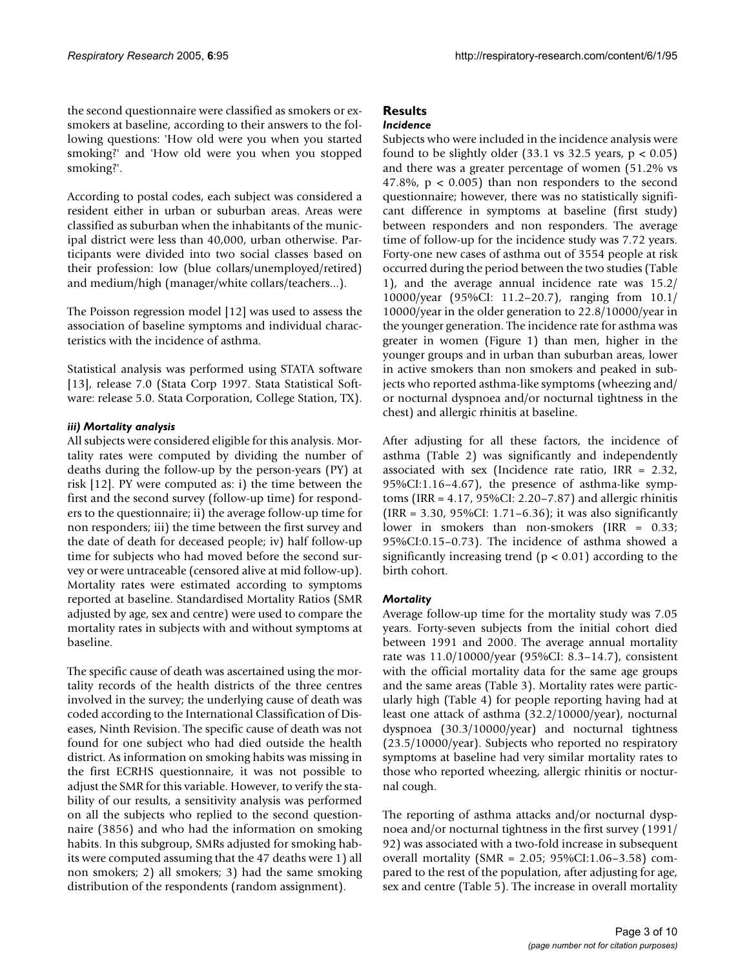the second questionnaire were classified as smokers or exsmokers at baseline, according to their answers to the following questions: 'How old were you when you started smoking?' and 'How old were you when you stopped smoking?'.

According to postal codes, each subject was considered a resident either in urban or suburban areas. Areas were classified as suburban when the inhabitants of the municipal district were less than 40,000, urban otherwise. Participants were divided into two social classes based on their profession: low (blue collars/unemployed/retired) and medium/high (manager/white collars/teachers...).

The Poisson regression model [12] was used to assess the association of baseline symptoms and individual characteristics with the incidence of asthma.

Statistical analysis was performed using STATA software [13], release 7.0 (Stata Corp 1997. Stata Statistical Software: release 5.0. Stata Corporation, College Station, TX).

#### *iii) Mortality analysis*

All subjects were considered eligible for this analysis. Mortality rates were computed by dividing the number of deaths during the follow-up by the person-years (PY) at risk [12]. PY were computed as: i) the time between the first and the second survey (follow-up time) for responders to the questionnaire; ii) the average follow-up time for non responders; iii) the time between the first survey and the date of death for deceased people; iv) half follow-up time for subjects who had moved before the second survey or were untraceable (censored alive at mid follow-up). Mortality rates were estimated according to symptoms reported at baseline. Standardised Mortality Ratios (SMR adjusted by age, sex and centre) were used to compare the mortality rates in subjects with and without symptoms at baseline.

The specific cause of death was ascertained using the mortality records of the health districts of the three centres involved in the survey; the underlying cause of death was coded according to the International Classification of Diseases, Ninth Revision. The specific cause of death was not found for one subject who had died outside the health district. As information on smoking habits was missing in the first ECRHS questionnaire, it was not possible to adjust the SMR for this variable. However, to verify the stability of our results, a sensitivity analysis was performed on all the subjects who replied to the second questionnaire (3856) and who had the information on smoking habits. In this subgroup, SMRs adjusted for smoking habits were computed assuming that the 47 deaths were 1) all non smokers; 2) all smokers; 3) had the same smoking distribution of the respondents (random assignment).

# **Results**

#### *Incidence*

Subjects who were included in the incidence analysis were found to be slightly older  $(33.1 \text{ vs } 32.5 \text{ years}, p < 0.05)$ and there was a greater percentage of women (51.2% vs 47.8%,  $p < 0.005$ ) than non responders to the second questionnaire; however, there was no statistically significant difference in symptoms at baseline (first study) between responders and non responders. The average time of follow-up for the incidence study was 7.72 years. Forty-one new cases of asthma out of 3554 people at risk occurred during the period between the two studies (Table 1), and the average annual incidence rate was 15.2/ 10000/year (95%CI: 11.2–20.7), ranging from 10.1/ 10000/year in the older generation to 22.8/10000/year in the younger generation. The incidence rate for asthma was greater in women (Figure [1](#page-3-0)) than men, higher in the younger groups and in urban than suburban areas, lower in active smokers than non smokers and peaked in subjects who reported asthma-like symptoms (wheezing and/ or nocturnal dyspnoea and/or nocturnal tightness in the chest) and allergic rhinitis at baseline.

After adjusting for all these factors, the incidence of asthma (Table [2\)](#page-4-0) was significantly and independently associated with sex (Incidence rate ratio, IRR = 2.32, 95%CI:1.16–4.67), the presence of asthma-like symptoms (IRR = 4.17, 95%CI: 2.20–7.87) and allergic rhinitis  $\text{IRR} = 3.30, 95\% \text{CI}$ : 1.71–6.36); it was also significantly lower in smokers than non-smokers (IRR = 0.33; 95%CI:0.15–0.73). The incidence of asthma showed a significantly increasing trend ( $p < 0.01$ ) according to the birth cohort.

#### *Mortality*

Average follow-up time for the mortality study was 7.05 years. Forty-seven subjects from the initial cohort died between 1991 and 2000. The average annual mortality rate was 11.0/10000/year (95%CI: 8.3–14.7), consistent with the official mortality data for the same age groups and the same areas (Table [3](#page-4-1)). Mortality rates were particularly high (Table [4](#page-5-0)) for people reporting having had at least one attack of asthma (32.2/10000/year), nocturnal dyspnoea (30.3/10000/year) and nocturnal tightness (23.5/10000/year). Subjects who reported no respiratory symptoms at baseline had very similar mortality rates to those who reported wheezing, allergic rhinitis or nocturnal cough.

The reporting of asthma attacks and/or nocturnal dyspnoea and/or nocturnal tightness in the first survey (1991/ 92) was associated with a two-fold increase in subsequent overall mortality (SMR = 2.05; 95%CI:1.06–3.58) compared to the rest of the population, after adjusting for age, sex and centre (Table [5\)](#page-5-1). The increase in overall mortality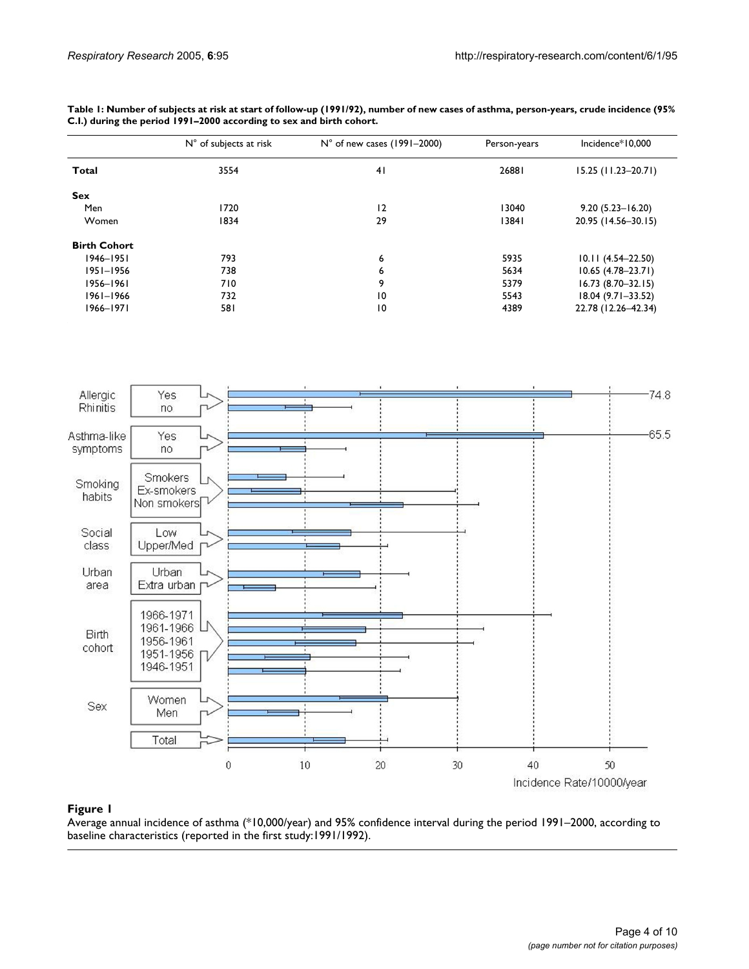|                     | N° of subjects at risk | $N^{\circ}$ of new cases (1991–2000) | Person-years                   | Incidence*10,000         |
|---------------------|------------------------|--------------------------------------|--------------------------------|--------------------------|
| <b>Total</b>        | 3554                   | 41                                   | 26881<br>$15.25$ (11.23-20.71) |                          |
| <b>Sex</b>          |                        |                                      |                                |                          |
| Men                 | 1720                   | 12                                   | 13040                          | $9.20(5.23 - 16.20)$     |
| Women               | 1834                   | 29                                   | 13841                          | 20.95 (14.56-30.15)      |
| <b>Birth Cohort</b> |                        |                                      |                                |                          |
| $1946 - 1951$       | 793                    | 6                                    | 5935                           | $10.11(4.54 - 22.50)$    |
| 1951–1956           | 738                    | 6                                    | 5634                           | $10.65$ $(4.78 - 23.71)$ |
| 1956-1961           | 710                    | 9                                    | 5379                           | $16.73(8.70-32.15)$      |
| $1961 - 1966$       | 732                    | $\overline{10}$                      | 5543                           | 18.04 (9.71-33.52)       |
| 1966-1971           | 581                    | $\overline{10}$                      | 4389                           | 22.78 (12.26-42.34)      |

**Table 1: Number of subjects at risk at start of follow-up (1991/92), number of new cases of asthma, person-years, crude incidence (95% C.I.) during the period 1991–2000 according to sex and birth cohort.**

<span id="page-3-0"></span>

#### baseline characteristics (repor **Figure 1** Average annual incidence of asthma (\*10,000/year) and 95% conf ted in the first study:1991/1992) idence interval during the period 1991–2000, according to

Average annual incidence of asthma (\*10,000/year) and 95% confidence interval during the period 1991–2000, according to baseline characteristics (reported in the first study:1991/1992).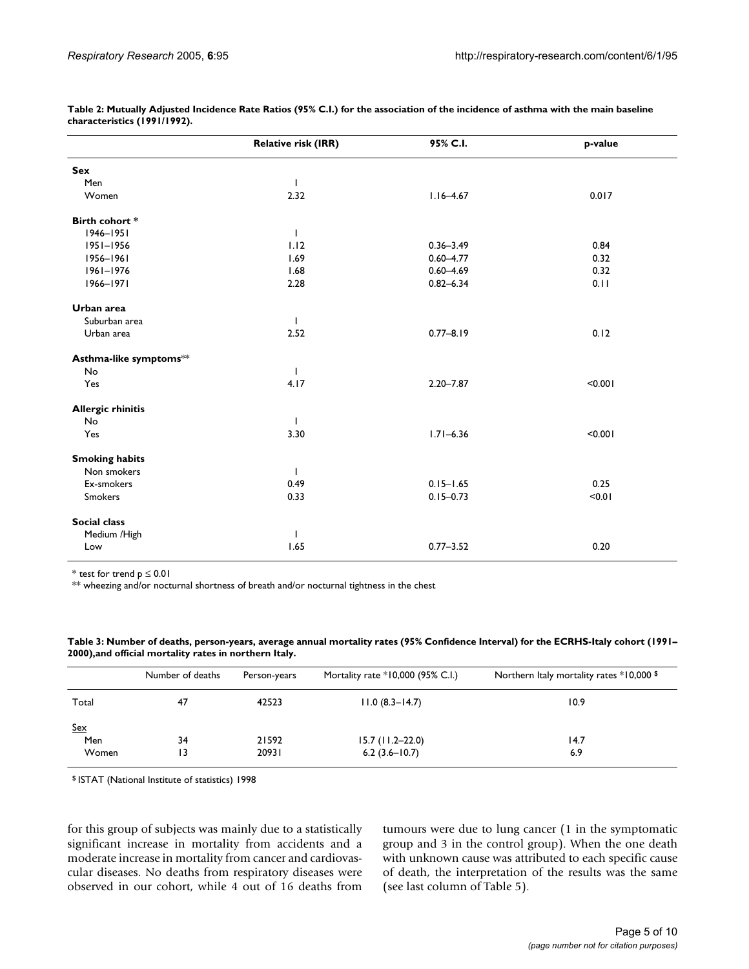|                          | <b>Relative risk (IRR)</b> | 95% C.I.      | p-value |  |
|--------------------------|----------------------------|---------------|---------|--|
| Sex                      |                            |               |         |  |
| Men                      | $\mathbf{I}$               |               |         |  |
| Women                    | 2.32                       | $1.16 - 4.67$ | 0.017   |  |
| Birth cohort*            |                            |               |         |  |
| $1946 - 1951$            | $\mathbf{I}$               |               |         |  |
| $1951 - 1956$            | 1.12                       | $0.36 - 3.49$ | 0.84    |  |
| 1956-1961                | 1.69                       | $0.60 - 4.77$ | 0.32    |  |
| $1961 - 1976$            | 1.68                       | $0.60 - 4.69$ | 0.32    |  |
| 1966-1971                | 2.28                       | $0.82 - 6.34$ | 0.11    |  |
| Urban area               |                            |               |         |  |
| Suburban area            | $\mathbf{I}$               |               |         |  |
| Urban area               | 2.52                       | $0.77 - 8.19$ | 0.12    |  |
| Asthma-like symptoms**   |                            |               |         |  |
| No                       | $\mathbf{I}$               |               |         |  |
| Yes                      | 4.17                       | $2.20 - 7.87$ | < 0.001 |  |
| <b>Allergic rhinitis</b> |                            |               |         |  |
| No                       | $\mathbf{I}$               |               |         |  |
| Yes                      | 3.30                       | $1.71 - 6.36$ | < 0.001 |  |
| <b>Smoking habits</b>    |                            |               |         |  |
| Non smokers              | $\mathbf{I}$               |               |         |  |
| Ex-smokers               | 0.49                       | $0.15 - 1.65$ | 0.25    |  |
| Smokers                  | 0.33                       | $0.15 - 0.73$ | < 0.01  |  |
| <b>Social class</b>      |                            |               |         |  |
| Medium /High             | I.                         |               |         |  |
| Low                      | 1.65                       | $0.77 - 3.52$ | 0.20    |  |

<span id="page-4-0"></span>**Table 2: Mutually Adjusted Incidence Rate Ratios (95% C.I.) for the association of the incidence of asthma with the main baseline characteristics (1991/1992).**

 $*$  test for trend  $p \leq 0.01$ 

\*\* wheezing and/or nocturnal shortness of breath and/or nocturnal tightness in the chest

|            | Number of deaths | Person-years | Mortality rate *10,000 (95% C.I.) | Northern Italy mortality rates *10,000 \$ |
|------------|------------------|--------------|-----------------------------------|-------------------------------------------|
| Total      | 47               | 42523        | $11.0 (8.3 - 14.7)$               | 10.9                                      |
| <u>Sex</u> |                  |              |                                   |                                           |
| Men        | 34               | 21592        | $15.7$ (11.2–22.0)                | 14.7                                      |
| Women      | 13               | 20931        | $6.2(3.6 - 10.7)$                 | 6.9                                       |

<span id="page-4-1"></span>**Table 3: Number of deaths, person-years, average annual mortality rates (95% Confidence Interval) for the ECRHS-Italy cohort (1991– 2000),and official mortality rates in northern Italy.**

\$ ISTAT (National Institute of statistics) 1998

for this group of subjects was mainly due to a statistically significant increase in mortality from accidents and a moderate increase in mortality from cancer and cardiovascular diseases. No deaths from respiratory diseases were observed in our cohort, while 4 out of 16 deaths from tumours were due to lung cancer (1 in the symptomatic group and 3 in the control group). When the one death with unknown cause was attributed to each specific cause of death, the interpretation of the results was the same (see last column of Table [5](#page-5-1)).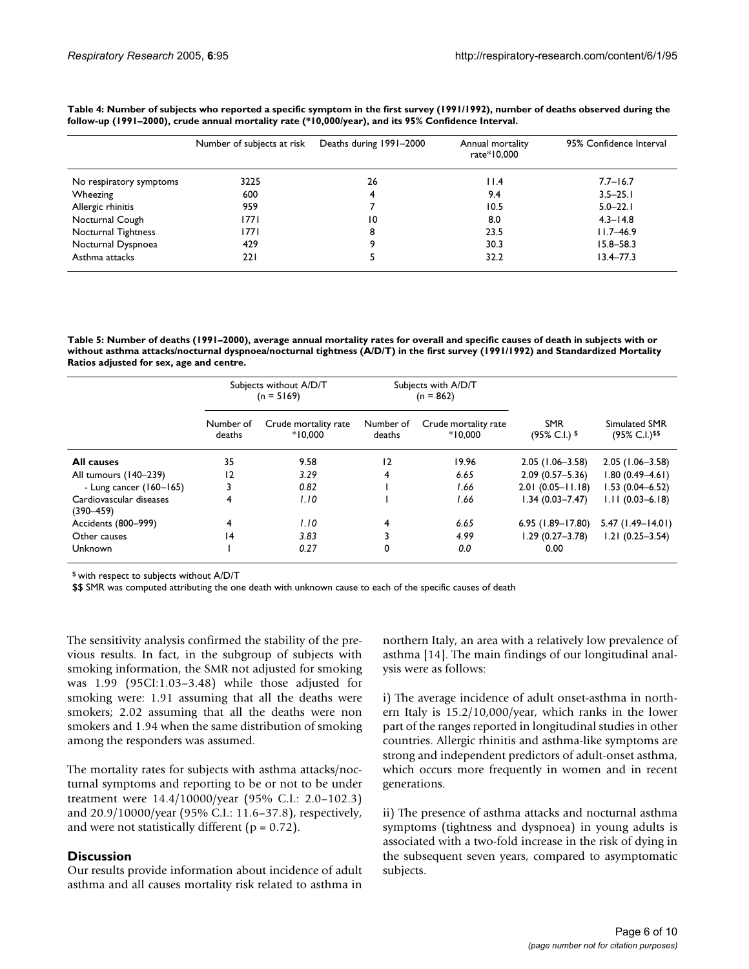|                            | Number of subjects at risk | Deaths during 1991-2000 | Annual mortality<br>rate*10,000 | 95% Confidence Interval |
|----------------------------|----------------------------|-------------------------|---------------------------------|-------------------------|
| No respiratory symptoms    | 3225                       | 26                      | 11.4                            | $7.7 - 16.7$            |
| Wheezing                   | 600                        |                         | 9.4                             | $3.5 - 25.1$            |
| Allergic rhinitis          | 959                        |                         | 10.5                            | $5.0 - 22.1$            |
| Nocturnal Cough            | 1771                       | 10                      | 8.0                             | $4.3 - 14.8$            |
| <b>Nocturnal Tightness</b> | 1771                       | 8                       | 23.5                            | $11.7 - 46.9$           |
| Nocturnal Dyspnoea         | 429                        | ۰                       | 30.3                            | $15.8 - 58.3$           |
| Asthma attacks             | 221                        |                         | 32.2                            | $13.4 - 77.3$           |

<span id="page-5-0"></span>**Table 4: Number of subjects who reported a specific symptom in the first survey (1991/1992), number of deaths observed during the follow-up (1991–2000), crude annual mortality rate (\*10,000/year), and its 95% Confidence Interval.**

<span id="page-5-1"></span>**Table 5: Number of deaths (1991–2000), average annual mortality rates for overall and specific causes of death in subjects with or without asthma attacks/nocturnal dyspnoea/nocturnal tightness (A/D/T) in the first survey (1991/1992) and Standardized Mortality Ratios adjusted for sex, age and centre.**

|                                          | Subjects without A/D/T<br>$(n = 5169)$ |                                   | Subjects with A/D/T<br>$(n = 862)$ |                                   |                                        |                                     |
|------------------------------------------|----------------------------------------|-----------------------------------|------------------------------------|-----------------------------------|----------------------------------------|-------------------------------------|
|                                          | Number of<br>deaths                    | Crude mortality rate<br>$*10.000$ | Number of<br>deaths                | Crude mortality rate<br>$*10,000$ | <b>SMR</b><br>$(95\% \text{ C.I.})$ \$ | Simulated SMR<br>$(95\% C.I.)$ \$\$ |
| All causes                               | 35                                     | 9.58                              | 12                                 | 19.96                             | $2.05(1.06 - 3.58)$                    | $2.05(1.06 - 3.58)$                 |
| All tumours (140-239)                    | 12                                     | 3.29                              | 4                                  | 6.65                              | $2.09(0.57 - 5.36)$                    | $1.80(0.49 - 4.61)$                 |
| - Lung cancer $(160-165)$                |                                        | 0.82                              |                                    | 1.66                              | $2.01(0.05 - 11.18)$                   | $1.53(0.04 - 6.52)$                 |
| Cardiovascular diseases<br>$(390 - 459)$ | 4                                      | 1.10                              |                                    | 1.66                              | $1.34(0.03 - 7.47)$                    | $1.11(0.03 - 6.18)$                 |
| Accidents (800-999)                      | 4                                      | 1.10                              | 4                                  | 6.65                              | $6.95(1.89 - 17.80)$                   | $5.47(1.49 - 14.01)$                |
| Other causes                             | 14                                     | 3.83                              |                                    | 4.99                              | 1.29 (0.27–3.78)                       | $1.21(0.25 - 3.54)$                 |
| Unknown                                  |                                        | 0.27                              | 0                                  | 0.0                               | 0.00                                   |                                     |

\$ with respect to subjects without A/D/T

\$\$ SMR was computed attributing the one death with unknown cause to each of the specific causes of death

The sensitivity analysis confirmed the stability of the previous results. In fact, in the subgroup of subjects with smoking information, the SMR not adjusted for smoking was 1.99 (95CI:1.03–3.48) while those adjusted for smoking were: 1.91 assuming that all the deaths were smokers; 2.02 assuming that all the deaths were non smokers and 1.94 when the same distribution of smoking among the responders was assumed.

The mortality rates for subjects with asthma attacks/nocturnal symptoms and reporting to be or not to be under treatment were 14.4/10000/year (95% C.I.: 2.0–102.3) and 20.9/10000/year (95% C.I.: 11.6–37.8), respectively, and were not statistically different ( $p = 0.72$ ).

#### **Discussion**

Our results provide information about incidence of adult asthma and all causes mortality risk related to asthma in

northern Italy, an area with a relatively low prevalence of asthma [14]. The main findings of our longitudinal analysis were as follows:

i) The average incidence of adult onset-asthma in northern Italy is 15.2/10,000/year, which ranks in the lower part of the ranges reported in longitudinal studies in other countries. Allergic rhinitis and asthma-like symptoms are strong and independent predictors of adult-onset asthma, which occurs more frequently in women and in recent generations.

ii) The presence of asthma attacks and nocturnal asthma symptoms (tightness and dyspnoea) in young adults is associated with a two-fold increase in the risk of dying in the subsequent seven years, compared to asymptomatic subjects.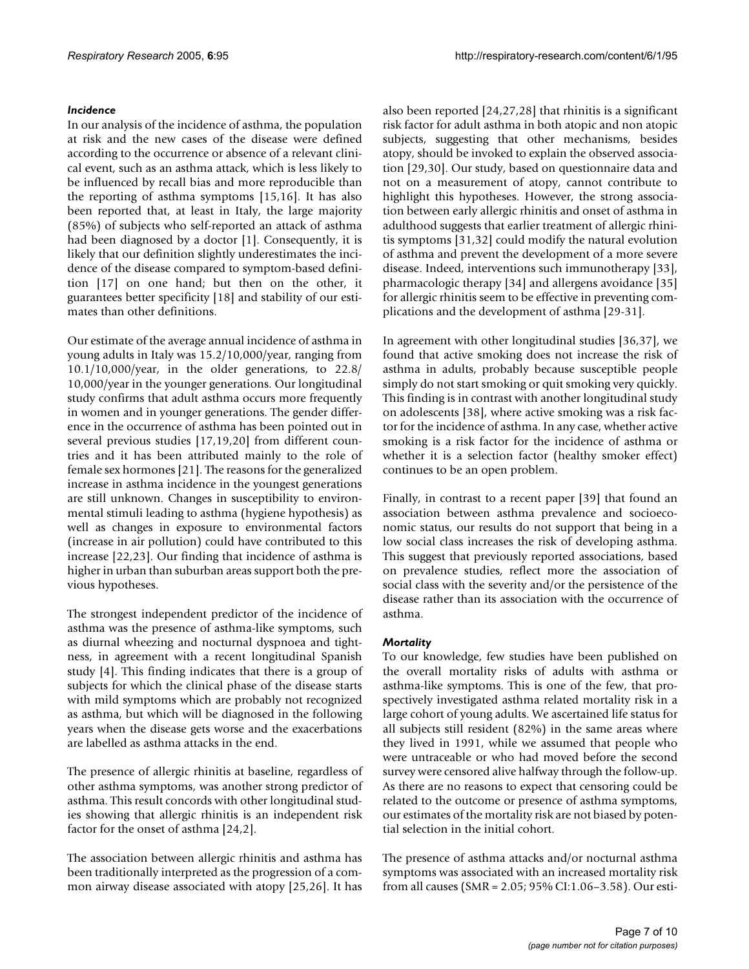#### *Incidence*

In our analysis of the incidence of asthma, the population at risk and the new cases of the disease were defined according to the occurrence or absence of a relevant clinical event, such as an asthma attack, which is less likely to be influenced by recall bias and more reproducible than the reporting of asthma symptoms [15,16]. It has also been reported that, at least in Italy, the large majority (85%) of subjects who self-reported an attack of asthma had been diagnosed by a doctor [1]. Consequently, it is likely that our definition slightly underestimates the incidence of the disease compared to symptom-based definition [17] on one hand; but then on the other, it guarantees better specificity [18] and stability of our estimates than other definitions.

Our estimate of the average annual incidence of asthma in young adults in Italy was 15.2/10,000/year, ranging from 10.1/10,000/year, in the older generations, to 22.8/ 10,000/year in the younger generations. Our longitudinal study confirms that adult asthma occurs more frequently in women and in younger generations. The gender difference in the occurrence of asthma has been pointed out in several previous studies [17,19,20] from different countries and it has been attributed mainly to the role of female sex hormones [21]. The reasons for the generalized increase in asthma incidence in the youngest generations are still unknown. Changes in susceptibility to environmental stimuli leading to asthma (hygiene hypothesis) as well as changes in exposure to environmental factors (increase in air pollution) could have contributed to this increase [22,23]. Our finding that incidence of asthma is higher in urban than suburban areas support both the previous hypotheses.

The strongest independent predictor of the incidence of asthma was the presence of asthma-like symptoms, such as diurnal wheezing and nocturnal dyspnoea and tightness, in agreement with a recent longitudinal Spanish study [4]. This finding indicates that there is a group of subjects for which the clinical phase of the disease starts with mild symptoms which are probably not recognized as asthma, but which will be diagnosed in the following years when the disease gets worse and the exacerbations are labelled as asthma attacks in the end.

The presence of allergic rhinitis at baseline, regardless of other asthma symptoms, was another strong predictor of asthma. This result concords with other longitudinal studies showing that allergic rhinitis is an independent risk factor for the onset of asthma [24,2].

The association between allergic rhinitis and asthma has been traditionally interpreted as the progression of a common airway disease associated with atopy [25,26]. It has

also been reported [24,27,28] that rhinitis is a significant risk factor for adult asthma in both atopic and non atopic subjects, suggesting that other mechanisms, besides atopy, should be invoked to explain the observed association [29,30]. Our study, based on questionnaire data and not on a measurement of atopy, cannot contribute to highlight this hypotheses. However, the strong association between early allergic rhinitis and onset of asthma in adulthood suggests that earlier treatment of allergic rhinitis symptoms [31,32] could modify the natural evolution of asthma and prevent the development of a more severe disease. Indeed, interventions such immunotherapy [33], pharmacologic therapy [34] and allergens avoidance [35] for allergic rhinitis seem to be effective in preventing complications and the development of asthma [29-31].

In agreement with other longitudinal studies [36,37], we found that active smoking does not increase the risk of asthma in adults, probably because susceptible people simply do not start smoking or quit smoking very quickly. This finding is in contrast with another longitudinal study on adolescents [38], where active smoking was a risk factor for the incidence of asthma. In any case, whether active smoking is a risk factor for the incidence of asthma or whether it is a selection factor (healthy smoker effect) continues to be an open problem.

Finally, in contrast to a recent paper [39] that found an association between asthma prevalence and socioeconomic status, our results do not support that being in a low social class increases the risk of developing asthma. This suggest that previously reported associations, based on prevalence studies, reflect more the association of social class with the severity and/or the persistence of the disease rather than its association with the occurrence of asthma.

#### *Mortality*

To our knowledge, few studies have been published on the overall mortality risks of adults with asthma or asthma-like symptoms. This is one of the few, that prospectively investigated asthma related mortality risk in a large cohort of young adults. We ascertained life status for all subjects still resident (82%) in the same areas where they lived in 1991, while we assumed that people who were untraceable or who had moved before the second survey were censored alive halfway through the follow-up. As there are no reasons to expect that censoring could be related to the outcome or presence of asthma symptoms, our estimates of the mortality risk are not biased by potential selection in the initial cohort.

The presence of asthma attacks and/or nocturnal asthma symptoms was associated with an increased mortality risk from all causes (SMR = 2.05; 95% CI:1.06–3.58). Our esti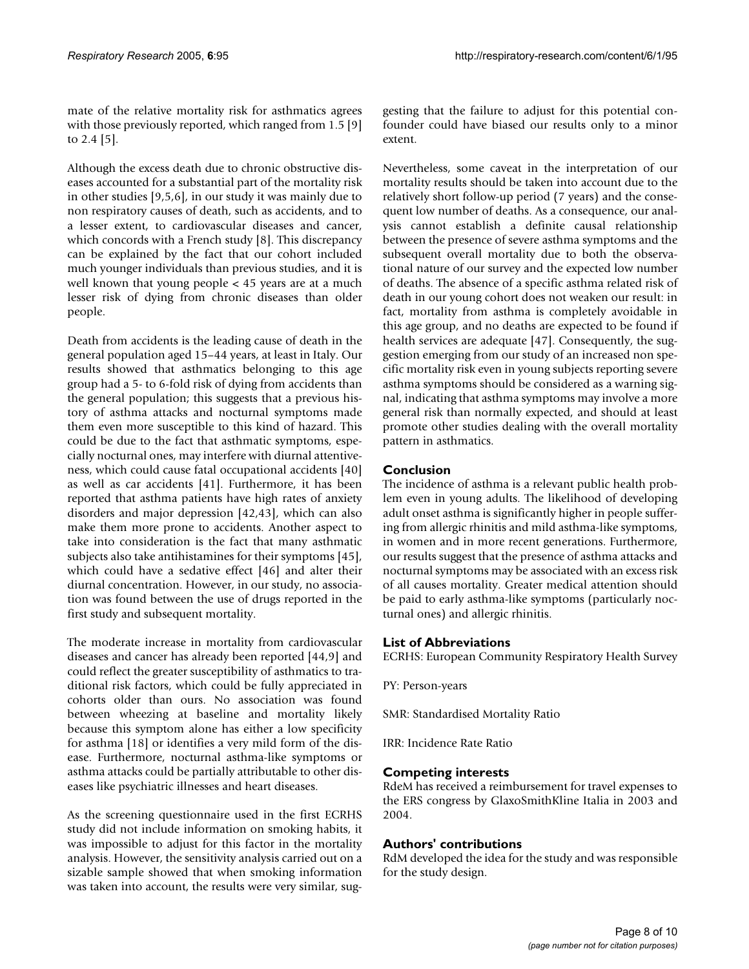mate of the relative mortality risk for asthmatics agrees with those previously reported, which ranged from 1.5 [9] to  $2.4$  [5].

Although the excess death due to chronic obstructive diseases accounted for a substantial part of the mortality risk in other studies [9,5,6], in our study it was mainly due to non respiratory causes of death, such as accidents, and to a lesser extent, to cardiovascular diseases and cancer, which concords with a French study [8]. This discrepancy can be explained by the fact that our cohort included much younger individuals than previous studies, and it is well known that young people < 45 years are at a much lesser risk of dying from chronic diseases than older people.

Death from accidents is the leading cause of death in the general population aged 15–44 years, at least in Italy. Our results showed that asthmatics belonging to this age group had a 5- to 6-fold risk of dying from accidents than the general population; this suggests that a previous history of asthma attacks and nocturnal symptoms made them even more susceptible to this kind of hazard. This could be due to the fact that asthmatic symptoms, especially nocturnal ones, may interfere with diurnal attentiveness, which could cause fatal occupational accidents [40] as well as car accidents [41]. Furthermore, it has been reported that asthma patients have high rates of anxiety disorders and major depression [42,43], which can also make them more prone to accidents. Another aspect to take into consideration is the fact that many asthmatic subjects also take antihistamines for their symptoms [45], which could have a sedative effect [46] and alter their diurnal concentration. However, in our study, no association was found between the use of drugs reported in the first study and subsequent mortality.

The moderate increase in mortality from cardiovascular diseases and cancer has already been reported [44,9] and could reflect the greater susceptibility of asthmatics to traditional risk factors, which could be fully appreciated in cohorts older than ours. No association was found between wheezing at baseline and mortality likely because this symptom alone has either a low specificity for asthma [18] or identifies a very mild form of the disease. Furthermore, nocturnal asthma-like symptoms or asthma attacks could be partially attributable to other diseases like psychiatric illnesses and heart diseases.

As the screening questionnaire used in the first ECRHS study did not include information on smoking habits, it was impossible to adjust for this factor in the mortality analysis. However, the sensitivity analysis carried out on a sizable sample showed that when smoking information was taken into account, the results were very similar, suggesting that the failure to adjust for this potential confounder could have biased our results only to a minor extent.

Nevertheless, some caveat in the interpretation of our mortality results should be taken into account due to the relatively short follow-up period (7 years) and the consequent low number of deaths. As a consequence, our analysis cannot establish a definite causal relationship between the presence of severe asthma symptoms and the subsequent overall mortality due to both the observational nature of our survey and the expected low number of deaths. The absence of a specific asthma related risk of death in our young cohort does not weaken our result: in fact, mortality from asthma is completely avoidable in this age group, and no deaths are expected to be found if health services are adequate [47]. Consequently, the suggestion emerging from our study of an increased non specific mortality risk even in young subjects reporting severe asthma symptoms should be considered as a warning signal, indicating that asthma symptoms may involve a more general risk than normally expected, and should at least promote other studies dealing with the overall mortality pattern in asthmatics.

#### **Conclusion**

The incidence of asthma is a relevant public health problem even in young adults. The likelihood of developing adult onset asthma is significantly higher in people suffering from allergic rhinitis and mild asthma-like symptoms, in women and in more recent generations. Furthermore, our results suggest that the presence of asthma attacks and nocturnal symptoms may be associated with an excess risk of all causes mortality. Greater medical attention should be paid to early asthma-like symptoms (particularly nocturnal ones) and allergic rhinitis.

### **List of Abbreviations**

ECRHS: European Community Respiratory Health Survey

PY: Person-years

SMR: Standardised Mortality Ratio

IRR: Incidence Rate Ratio

### **Competing interests**

RdeM has received a reimbursement for travel expenses to the ERS congress by GlaxoSmithKline Italia in 2003 and 2004.

### **Authors' contributions**

RdM developed the idea for the study and was responsible for the study design.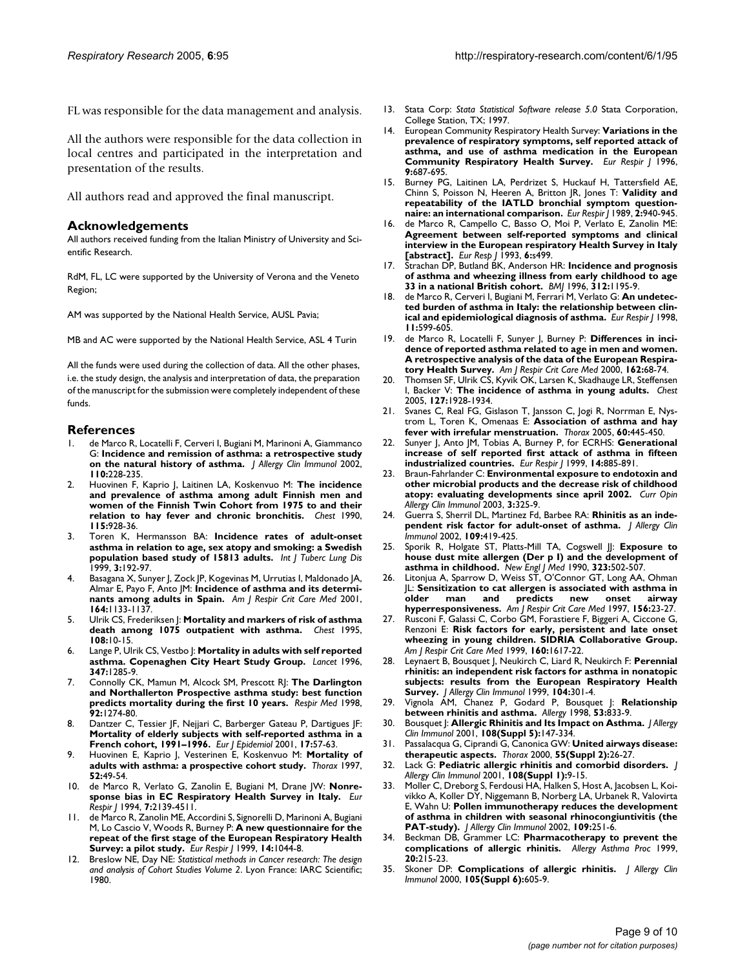FL was responsible for the data management and analysis.

All the authors were responsible for the data collection in local centres and participated in the interpretation and presentation of the results.

All authors read and approved the final manuscript.

#### **Acknowledgements**

All authors received funding from the Italian Ministry of University and Scientific Research.

RdM, FL, LC were supported by the University of Verona and the Veneto Region;

AM was supported by the National Health Service, AUSL Pavia;

MB and AC were supported by the National Health Service, ASL 4 Turin

All the funds were used during the collection of data. All the other phases, i.e. the study design, the analysis and interpretation of data, the preparation of the manuscript for the submission were completely independent of these funds.

#### **References**

- 1. de Marco R, Locatelli F, Cerveri I, Bugiani M, Marinoni A, Giammanco G: **[Incidence and remission of asthma: a retrospective study](http://www.ncbi.nlm.nih.gov/entrez/query.fcgi?cmd=Retrieve&db=PubMed&dopt=Abstract&list_uids=12170262) [on the natural history of asthma.](http://www.ncbi.nlm.nih.gov/entrez/query.fcgi?cmd=Retrieve&db=PubMed&dopt=Abstract&list_uids=12170262)** *J Allergy Clin Immunol* 2002, **110:**228-235.
- 2. Huovinen F, Kaprio J, Laitinen LA, Koskenvuo M: **The incidence and prevalence of asthma among adult Finnish men and women of the Finnish Twin Cohort from 1975 to and their relation to hay fever and chronic bronchitis.** *Chest* 1990, **115:**928-36.
- 3. Toren K, Hermansson BA: **[Incidence rates of adult-onset](http://www.ncbi.nlm.nih.gov/entrez/query.fcgi?cmd=Retrieve&db=PubMed&dopt=Abstract&list_uids=10094318) [asthma in relation to age, sex atopy and smoking: a Swedish](http://www.ncbi.nlm.nih.gov/entrez/query.fcgi?cmd=Retrieve&db=PubMed&dopt=Abstract&list_uids=10094318) [population based study of 15813 adults.](http://www.ncbi.nlm.nih.gov/entrez/query.fcgi?cmd=Retrieve&db=PubMed&dopt=Abstract&list_uids=10094318)** *Int J Tuberc Lung Dis* 1999, **3:**192-97.
- 4. Basagana X, Sunyer J, Zock JP, Kogevinas M, Urrutias I, Maldonado JA, Almar E, Payo F, Anto JM: **[Incidence of asthma and its determi](http://www.ncbi.nlm.nih.gov/entrez/query.fcgi?cmd=Retrieve&db=PubMed&dopt=Abstract&list_uids=11673198)[nants among adults in Spain.](http://www.ncbi.nlm.nih.gov/entrez/query.fcgi?cmd=Retrieve&db=PubMed&dopt=Abstract&list_uids=11673198)** *Am J Respir Crit Care Med* 2001, **164:**1133-1137.
- 5. Ulrik CS, Frederiksen J: **[Mortality and markers of risk of asthma](http://www.ncbi.nlm.nih.gov/entrez/query.fcgi?cmd=Retrieve&db=PubMed&dopt=Abstract&list_uids=7606941) [death among 1075 outpatient with asthma.](http://www.ncbi.nlm.nih.gov/entrez/query.fcgi?cmd=Retrieve&db=PubMed&dopt=Abstract&list_uids=7606941)** *Chest* 1995, **108:**10-15.
- Lange P, Ulrik CS, Vestbo J: [Mortality in adults with self reported](http://www.ncbi.nlm.nih.gov/entrez/query.fcgi?cmd=Retrieve&db=PubMed&dopt=Abstract&list_uids=8622503) **[asthma. Copenaghen City Heart Study Group.](http://www.ncbi.nlm.nih.gov/entrez/query.fcgi?cmd=Retrieve&db=PubMed&dopt=Abstract&list_uids=8622503)** *Lancet* 1996, **347:**1285-9.
- 7. Connolly CK, Mamun M, Alcock SM, Prescott RJ: **[The Darlington](http://www.ncbi.nlm.nih.gov/entrez/query.fcgi?cmd=Retrieve&db=PubMed&dopt=Abstract&list_uids=9926140) [and Northallerton Prospective asthma study: best function](http://www.ncbi.nlm.nih.gov/entrez/query.fcgi?cmd=Retrieve&db=PubMed&dopt=Abstract&list_uids=9926140) [predicts mortality during the first 10 years.](http://www.ncbi.nlm.nih.gov/entrez/query.fcgi?cmd=Retrieve&db=PubMed&dopt=Abstract&list_uids=9926140)** *Respir Med* 1998, **92:**1274-80.
- 8. Dantzer C, Tessier JF, Nejjari C, Barberger Gateau P, Dartigues JF: **[Mortality of elderly subjects with self-reported asthma in a](http://www.ncbi.nlm.nih.gov/entrez/query.fcgi?cmd=Retrieve&db=PubMed&dopt=Abstract&list_uids=11523577) [French cohort, 1991–1996.](http://www.ncbi.nlm.nih.gov/entrez/query.fcgi?cmd=Retrieve&db=PubMed&dopt=Abstract&list_uids=11523577)** *Eur J Epidemiol* 2001, **17:**57-63.
- 9. Huovinen E, Kaprio J, Vesterinen E, Koskenvuo M: **[Mortality of](http://www.ncbi.nlm.nih.gov/entrez/query.fcgi?cmd=Retrieve&db=PubMed&dopt=Abstract&list_uids=9039240) [adults with asthma: a prospective cohort study.](http://www.ncbi.nlm.nih.gov/entrez/query.fcgi?cmd=Retrieve&db=PubMed&dopt=Abstract&list_uids=9039240)** *Thorax* 1997, **52:**49-54.
- 10. de Marco R, Verlato G, Zanolin E, Bugiani M, Drane JW: **[Nonre](http://www.ncbi.nlm.nih.gov/entrez/query.fcgi?cmd=Retrieve&db=PubMed&dopt=Abstract&list_uids=7713194)[sponse bias in EC Respiratory Health Survey in Italy.](http://www.ncbi.nlm.nih.gov/entrez/query.fcgi?cmd=Retrieve&db=PubMed&dopt=Abstract&list_uids=7713194)** *Eur Respir J* 1994, **7:**2139-4511.
- 11. de Marco R, Zanolin ME, Accordini S, Signorelli D, Marinoni A, Bugiani M, Lo Cascio V, Woods R, Burney P: **[A new questionnaire for the](http://www.ncbi.nlm.nih.gov/entrez/query.fcgi?cmd=Retrieve&db=PubMed&dopt=Abstract&list_uids=10596688) [repeat of the first stage of the European Respiratory Health](http://www.ncbi.nlm.nih.gov/entrez/query.fcgi?cmd=Retrieve&db=PubMed&dopt=Abstract&list_uids=10596688) [Survey: a pilot study.](http://www.ncbi.nlm.nih.gov/entrez/query.fcgi?cmd=Retrieve&db=PubMed&dopt=Abstract&list_uids=10596688)** *Eur Respir J* 1999, **14:**1044-8.
- 12. Breslow NE, Day NE: *Statistical methods in Cancer research: The design and analysis of Cohort Studies Volume 2*. Lyon France: IARC Scientific; 1980.
- 13. Stata Corp: *Stata Statistical Software release 5.0* Stata Corporation, College Station, TX; 1997.
- 14. European Community Respiratory Health Survey: **[Variations in the](http://www.ncbi.nlm.nih.gov/entrez/query.fcgi?cmd=Retrieve&db=PubMed&dopt=Abstract&list_uids=8726932) prevalence of respiratory symptoms, self reported attack of [asthma, and use of asthma medication in the European](http://www.ncbi.nlm.nih.gov/entrez/query.fcgi?cmd=Retrieve&db=PubMed&dopt=Abstract&list_uids=8726932) [Community Respiratory Health Survey.](http://www.ncbi.nlm.nih.gov/entrez/query.fcgi?cmd=Retrieve&db=PubMed&dopt=Abstract&list_uids=8726932)** *Eur Respir J* 1996, **9:**687-695.
- 15. Burney PG, Laitinen LA, Perdrizet S, Huckauf H, Tattersfield AE, Chinn S, Poisson N, Heeren A, Britton JR, Jones T: **[Validity and](http://www.ncbi.nlm.nih.gov/entrez/query.fcgi?cmd=Retrieve&db=PubMed&dopt=Abstract&list_uids=2606194) [repeatability of the IATLD bronchial symptom question](http://www.ncbi.nlm.nih.gov/entrez/query.fcgi?cmd=Retrieve&db=PubMed&dopt=Abstract&list_uids=2606194)[naire: an international comparison.](http://www.ncbi.nlm.nih.gov/entrez/query.fcgi?cmd=Retrieve&db=PubMed&dopt=Abstract&list_uids=2606194)** *Eur Respir J* 1989, **2:**940-945.
- 16. de Marco R, Campello C, Basso O, Moi P, Verlato E, Zanolin ME: **Agreement between self-reported symptoms and clinical interview in the European respiratory Health Survey in Italy [abstract].** *Eur Resp J* 1993, **6:**s499.
- 17. Strachan DP, Butland BK, Anderson HR: **[Incidence and prognosis](http://www.ncbi.nlm.nih.gov/entrez/query.fcgi?cmd=Retrieve&db=PubMed&dopt=Abstract&list_uids=8634562) [of asthma and wheezing illness from early childhood to age](http://www.ncbi.nlm.nih.gov/entrez/query.fcgi?cmd=Retrieve&db=PubMed&dopt=Abstract&list_uids=8634562) [33 in a national British cohort.](http://www.ncbi.nlm.nih.gov/entrez/query.fcgi?cmd=Retrieve&db=PubMed&dopt=Abstract&list_uids=8634562)** *BMJ* 1996, **312:**1195-9.
- 18. de Marco R, Cerveri I, Bugiani M, Ferrari M, Verlato G: **[An undetec](http://www.ncbi.nlm.nih.gov/entrez/query.fcgi?cmd=Retrieve&db=PubMed&dopt=Abstract&list_uids=9596109)[ted burden of asthma in Italy: the relationship between clin](http://www.ncbi.nlm.nih.gov/entrez/query.fcgi?cmd=Retrieve&db=PubMed&dopt=Abstract&list_uids=9596109)[ical and epidemiological diagnosis of asthma.](http://www.ncbi.nlm.nih.gov/entrez/query.fcgi?cmd=Retrieve&db=PubMed&dopt=Abstract&list_uids=9596109)** *Eur Respir J* 1998, **11:**599-605.
- 19. de Marco R, Locatelli F, Sunyer J, Burney P: [Differences in inci](http://www.ncbi.nlm.nih.gov/entrez/query.fcgi?cmd=Retrieve&db=PubMed&dopt=Abstract&list_uids=10903222)**dence of reported asthma related to age in men and women. [A retrospective analysis of the data of the European Respira](http://www.ncbi.nlm.nih.gov/entrez/query.fcgi?cmd=Retrieve&db=PubMed&dopt=Abstract&list_uids=10903222)[tory Health Survey.](http://www.ncbi.nlm.nih.gov/entrez/query.fcgi?cmd=Retrieve&db=PubMed&dopt=Abstract&list_uids=10903222)** *Am J Respir Crit Care Med* 2000, **162:**68-74.
- 20. Thomsen SF, Ulrik CS, Kyvik OK, Larsen K, Skadhauge LR, Steffensen I, Backer V: **[The incidence of asthma in young adults.](http://www.ncbi.nlm.nih.gov/entrez/query.fcgi?cmd=Retrieve&db=PubMed&dopt=Abstract&list_uids=15947304)** *Chest* 2005, **127:**1928-1934.
- 21. Svanes C, Real FG, Gislason T, Jansson C, Jogi R, Norrman E, Nystrom L, Toren K, Omenaas E: **[Association of asthma and hay](http://www.ncbi.nlm.nih.gov/entrez/query.fcgi?cmd=Retrieve&db=PubMed&dopt=Abstract&list_uids=15923242) [fever with irrefular menstruation.](http://www.ncbi.nlm.nih.gov/entrez/query.fcgi?cmd=Retrieve&db=PubMed&dopt=Abstract&list_uids=15923242)** *Thorax* 2005, **60:**445-450.
- 22. Sunyer J, Anto JM, Tobias A, Burney P, for ECRHS: **[Generational](http://www.ncbi.nlm.nih.gov/entrez/query.fcgi?cmd=Retrieve&db=PubMed&dopt=Abstract&list_uids=10573237) [increase of self reported first attack of asthma in fifteen](http://www.ncbi.nlm.nih.gov/entrez/query.fcgi?cmd=Retrieve&db=PubMed&dopt=Abstract&list_uids=10573237) [industrialized countries.](http://www.ncbi.nlm.nih.gov/entrez/query.fcgi?cmd=Retrieve&db=PubMed&dopt=Abstract&list_uids=10573237)** *Eur Respir J* 1999, **14:**885-891.
- 23. Braun-Fahrlander C: **[Environmental exposure to endotoxin and](http://www.ncbi.nlm.nih.gov/entrez/query.fcgi?cmd=Retrieve&db=PubMed&dopt=Abstract&list_uids=14501429) [other microbial products and the decrease risk of childhood](http://www.ncbi.nlm.nih.gov/entrez/query.fcgi?cmd=Retrieve&db=PubMed&dopt=Abstract&list_uids=14501429) [atopy: evaluating developments since april 2002.](http://www.ncbi.nlm.nih.gov/entrez/query.fcgi?cmd=Retrieve&db=PubMed&dopt=Abstract&list_uids=14501429)** *Curr Opin Allergy Clin Immunol* 2003, **3:**325-9.
- 24. Guerra S, Sherril DL, Martinez Fd, Barbee RA: **[Rhinitis as an inde](http://www.ncbi.nlm.nih.gov/entrez/query.fcgi?cmd=Retrieve&db=PubMed&dopt=Abstract&list_uids=11897985)[pendent risk factor for adult-onset of asthma.](http://www.ncbi.nlm.nih.gov/entrez/query.fcgi?cmd=Retrieve&db=PubMed&dopt=Abstract&list_uids=11897985)** *J Allergy Clin Immunol* 2002, **109:**419-425.
- 25. Sporik R, Holgate ST, Platts-Mill TA, Cogswell JJ: **[Exposure to](http://www.ncbi.nlm.nih.gov/entrez/query.fcgi?cmd=Retrieve&db=PubMed&dopt=Abstract&list_uids=2377175) [house dust mite allergen \(Der p I\) and the development of](http://www.ncbi.nlm.nih.gov/entrez/query.fcgi?cmd=Retrieve&db=PubMed&dopt=Abstract&list_uids=2377175) [asthma in childhood.](http://www.ncbi.nlm.nih.gov/entrez/query.fcgi?cmd=Retrieve&db=PubMed&dopt=Abstract&list_uids=2377175)** *New Engl J Med* 1990, **323:**502-507.
- 26. Litonjua A, Sparrow D, Weiss ST, O'Connor GT, Long AA, Ohman JL: **[Sensitization to cat allergen is associated with asthma in](http://www.ncbi.nlm.nih.gov/entrez/query.fcgi?cmd=Retrieve&db=PubMed&dopt=Abstract&list_uids=9230721)** older man and predicts new onset **[hyperresponsiveness.](http://www.ncbi.nlm.nih.gov/entrez/query.fcgi?cmd=Retrieve&db=PubMed&dopt=Abstract&list_uids=9230721)** *Am J Respir Crit Care Med* 1997, **156:**23-27.
- 27. Rusconi F, Galassi C, Corbo GM, Forastiere F, Biggeri A, Ciccone G, Renzoni E: **[Risk factors for early, persistent and late onset](http://www.ncbi.nlm.nih.gov/entrez/query.fcgi?cmd=Retrieve&db=PubMed&dopt=Abstract&list_uids=10556130) [wheezing in young children. SIDRIA Collaborative Group.](http://www.ncbi.nlm.nih.gov/entrez/query.fcgi?cmd=Retrieve&db=PubMed&dopt=Abstract&list_uids=10556130)** *Am J Respir Crit Care Med* 1999, **160:**1617-22.
- 28. Leynaert B, Bousquet J, Neukirch C, Liard R, Neukirch F: **[Perennial](http://www.ncbi.nlm.nih.gov/entrez/query.fcgi?cmd=Retrieve&db=PubMed&dopt=Abstract&list_uids=10452748) rhinitis: an independent risk factors for asthma in nonatopic [subjects: results from the European Respiratory Health](http://www.ncbi.nlm.nih.gov/entrez/query.fcgi?cmd=Retrieve&db=PubMed&dopt=Abstract&list_uids=10452748) [Survey.](http://www.ncbi.nlm.nih.gov/entrez/query.fcgi?cmd=Retrieve&db=PubMed&dopt=Abstract&list_uids=10452748)** *J Allergy Clin Immunol* 1999, **104:**301-4.
- 29. Vignola AM, Chanez P, Godard P, Bousquet J: **[Relationship](http://www.ncbi.nlm.nih.gov/entrez/query.fcgi?cmd=Retrieve&db=PubMed&dopt=Abstract&list_uids=9788683) [between rhinitis and asthma.](http://www.ncbi.nlm.nih.gov/entrez/query.fcgi?cmd=Retrieve&db=PubMed&dopt=Abstract&list_uids=9788683)** *Allergy* 1998, **53:**833-9.
- 30. Bousquet J: **Allergic Rhinitis and Its Impact on Asthma.** *J Allergy Clin Immunol* 2001, **108(Suppl 5):**147-334.
- 31. Passalacqua G, Ciprandi G, Canonica GW: **United airways disease: therapeutic aspects.** *Thorax* 2000, **55(Suppl 2):**26-27.
- 32. Lack G: **Pediatric allergic rhinitis and comorbid disorders.** *J Allergy Clin Immunol* 2001, **108(Suppl 1):**9-15.
- 33. Moller C, Dreborg S, Ferdousi HA, Halken S, Host A, Jacobsen L, Koivikko A, Koller DY, Niggemann B, Norberg LA, Urbanek R, Valovirta E, Wahn U: **[Pollen immunotherapy reduces the development](http://www.ncbi.nlm.nih.gov/entrez/query.fcgi?cmd=Retrieve&db=PubMed&dopt=Abstract&list_uids=11842293) [of asthma in children with seasonal rhinocongiuntivitis \(the](http://www.ncbi.nlm.nih.gov/entrez/query.fcgi?cmd=Retrieve&db=PubMed&dopt=Abstract&list_uids=11842293) [PAT-study\).](http://www.ncbi.nlm.nih.gov/entrez/query.fcgi?cmd=Retrieve&db=PubMed&dopt=Abstract&list_uids=11842293)** *J Allergy Clin Immunol* 2002, **109:**251-6.
- 34. Beckman DB, Grammer LC: **[Pharmacotherapy to prevent the](http://www.ncbi.nlm.nih.gov/entrez/query.fcgi?cmd=Retrieve&db=PubMed&dopt=Abstract&list_uids=10476319) [complications of allergic rhinitis.](http://www.ncbi.nlm.nih.gov/entrez/query.fcgi?cmd=Retrieve&db=PubMed&dopt=Abstract&list_uids=10476319)** *Allergy Asthma Proc* 1999, **20:**215-23.
- 35. Skoner DP: **Complications of allergic rhinitis.** *J Allergy Clin Immunol* 2000, **105(Suppl 6):**605-9.